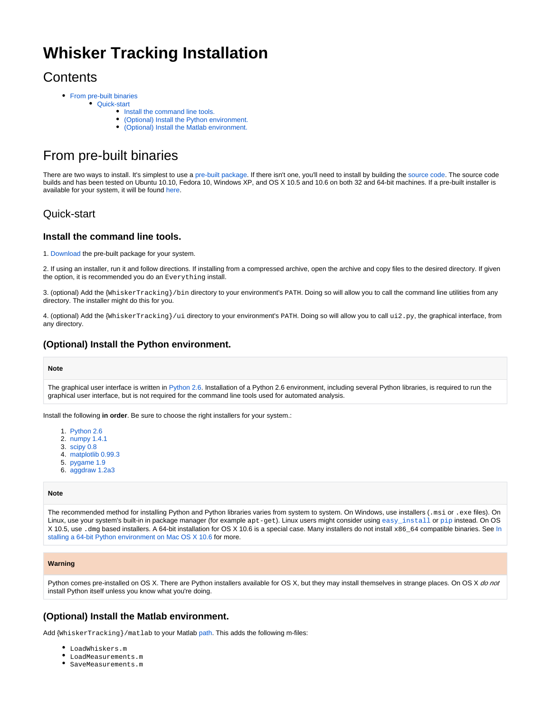# **Whisker Tracking Installation**

## **Contents**

- [From pre-built binaries](#page-0-0)
	- **[Quick-start](#page-0-1)** 
		- [Install the command line tools.](#page-0-2)
		- [\(Optional\) Install the Python environment.](#page-0-3)
		- [\(Optional\) Install the Matlab environment.](#page-0-4)

## <span id="page-0-0"></span>From pre-built binaries

There are two ways to install. It's simplest to use a [pre-built package.](https://wiki.janelia.org/wiki/display/MyersLab/Whisker+Tracking+Downloads) If there isn't one, you'll need to install by building the [source code.](https://github.com/nclack/whisk) The source code builds and has been tested on Ubuntu 10.10, Fedora 10, Windows XP, and OS X 10.5 and 10.6 on both 32 and 64-bit machines. If a pre-built installer is available for your system, it will be found [here.](https://wiki.janelia.org/wiki/display/MyersLab/Whisker+Tracking+Downloads)

## <span id="page-0-1"></span>Quick-start

#### <span id="page-0-2"></span>**Install the command line tools.**

1. [Download](https://wiki.janelia.org/wiki/display/MyersLab/Whisker+Tracking+Downloads) the pre-built package for your system.

2. If using an installer, run it and follow directions. If installing from a compressed archive, open the archive and copy files to the desired directory. If given the option, it is recommended you do an Everything install.

3. (optional) Add the {WhiskerTracking}/bin directory to your environment's PATH. Doing so will allow you to call the command line utilities from any directory. The installer might do this for you.

4. (optional) Add the {WhiskerTracking}/ui directory to your environment's PATH. Doing so will allow you to call ui2.py, the graphical interface, from any directory.

### <span id="page-0-3"></span>**(Optional) Install the Python environment.**

#### **Note**

The graphical user interface is written in [Python 2.6.](http://www.python.org) Installation of a Python 2.6 environment, including several Python libraries, is required to run the graphical user interface, but is not required for the command line tools used for automated analysis.

Install the following **in order**. Be sure to choose the right installers for your system.:

- 1. [Python 2.6](http://www.python.org/download/releases/2.6.5/)
- 2. [numpy 1.4.1](http://sourceforge.net/projects/numpy/files/)
- 3. [scipy 0.8](http://sourceforge.net/projects/scipy/files/)
- 4. [matplotlib 0.99.3](http://matplotlib.sourceforge.net/)
- 5. [pygame 1.9](http://www.pygame.org)
- 6. [aggdraw 1.2a3](http://effbot.org/zone/aggdraw-index.htm)

#### **Note**

The recommended method for installing Python and Python libraries varies from system to system. On Windows, use installers (.msi or .exe files). On Linux, use your system's built-in in package manager (for example apt-get). Linux users might consider using [easy\\_install](http://packages.python.org/distribute/easy_install.html) or [pip](http://pip.openplans.org/) instead. On OS X 10.5, use .dmg based installers. A 64-bit installation for OS X 10.6 is a special case. Many installers do not install x86\_64 compatible binaries. See In stalling a 64-bit Python environment on Mac OS X 10.6 for more.

#### **Warning**

Python comes pre-installed on OS X. There are Python installers available for OS X, but they may install themselves in strange places. On OS X do not install Python itself unless you know what you're doing.

### <span id="page-0-4"></span>**(Optional) Install the Matlab environment.**

Add {WhiskerTracking}/matlab to your Matlab [path.](http://www.mathworks.com/access/helpdesk/help/techdoc/matlab_prog/f10-60956.html) This adds the following m-files:

- LoadWhiskers.m
- LoadMeasurements.m
- SaveMeasurements.m